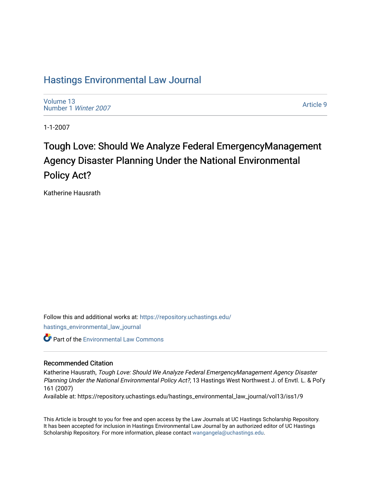# [Hastings Environmental Law Journal](https://repository.uchastings.edu/hastings_environmental_law_journal)

[Volume 13](https://repository.uchastings.edu/hastings_environmental_law_journal/vol13) [Number 1](https://repository.uchastings.edu/hastings_environmental_law_journal/vol13/iss1) Winter 2007

[Article 9](https://repository.uchastings.edu/hastings_environmental_law_journal/vol13/iss1/9) 

1-1-2007

# Tough Love: Should We Analyze Federal EmergencyManagement Agency Disaster Planning Under the National Environmental Policy Act?

Katherine Hausrath

Follow this and additional works at: [https://repository.uchastings.edu/](https://repository.uchastings.edu/hastings_environmental_law_journal?utm_source=repository.uchastings.edu%2Fhastings_environmental_law_journal%2Fvol13%2Fiss1%2F9&utm_medium=PDF&utm_campaign=PDFCoverPages) [hastings\\_environmental\\_law\\_journal](https://repository.uchastings.edu/hastings_environmental_law_journal?utm_source=repository.uchastings.edu%2Fhastings_environmental_law_journal%2Fvol13%2Fiss1%2F9&utm_medium=PDF&utm_campaign=PDFCoverPages) 

Part of the [Environmental Law Commons](http://network.bepress.com/hgg/discipline/599?utm_source=repository.uchastings.edu%2Fhastings_environmental_law_journal%2Fvol13%2Fiss1%2F9&utm_medium=PDF&utm_campaign=PDFCoverPages)

## Recommended Citation

Katherine Hausrath, Tough Love: Should We Analyze Federal EmergencyManagement Agency Disaster Planning Under the National Environmental Policy Act?, 13 Hastings West Northwest J. of Envtl. L. & Pol'y 161 (2007)

Available at: https://repository.uchastings.edu/hastings\_environmental\_law\_journal/vol13/iss1/9

This Article is brought to you for free and open access by the Law Journals at UC Hastings Scholarship Repository. It has been accepted for inclusion in Hastings Environmental Law Journal by an authorized editor of UC Hastings Scholarship Repository. For more information, please contact [wangangela@uchastings.edu.](mailto:wangangela@uchastings.edu)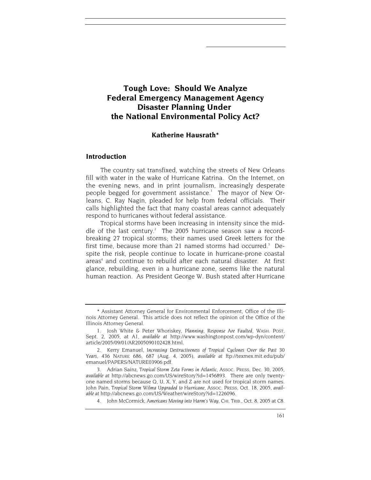## **Tough Love: Should We Analyze Federal Emergency Management Agency Disaster Planning Under the National Environmental Policy Act?**

## **Katherine Hausrath\***

## **Introduction**

The country sat transfixed, watching the streets of New Orleans fill with water in the wake of Hurricane Katrina. On the Internet, on the evening news, and in print journalism, increasingly desperate people begged for government assistance.<sup>1</sup> The mayor of New Orleans, C. Ray Nagin, pleaded for help from federal officials. Their calls highlighted the fact that many coastal areas cannot adequately respond to hurricanes without federal assistance.

Tropical storms have been increasing in intensity since the middle of the last century.<sup>2</sup> The 2005 hurricane season saw a recordbreaking 27 tropical storms; their names used Greek letters for the first time, because more than 21 named storms had occurred.<sup>3</sup> Despite the risk, people continue to locate in hurricane-prone coastal areas<sup>4</sup> and continue to rebuild after each natural disaster. At first glance, rebuilding, even in a hurricane zone, seems like the natural human reaction. As President George W. Bush stated after Hurricane

<sup>\*</sup> Assistant Attorney General for Environmental Enforcement, Office of the Illinois Attorney General. This article does not reflect the opinion of the Office of the Illinois Attorney General.

<sup>1.</sup> Josh White & Peter Whoriskey, *Planning, Response Are Faulted*, WASH. POST, Sept. 2, 2005, at A1, *available at* http://www.washingtonpost.com/wp-dyn/content/ article/2005/09/01/AR2005090102428.html.

<sup>2.</sup> Kerry Emanuel, *Increasing Destructiveness of Tropical Cyclones Over the Past 30 Years,* 436 NATURE 686, 687 (Aug. 4, 2005), *available at* ftp://texmex.mit.edu/pub/ emanuel/PAPERS/NATURE03906.pdf.

<sup>3.</sup> Adrian Sainz, *Tropical Storm Zeta Forms in Atlantic*, ASSOC. PRESS, Dec. 30, 2005, *available at* http://abcnews.go.com/US/wireStory?id=1456893. There are only twentyone named storms because Q, U, X, Y, and Z are not used for tropical storm names. John Pain, *Tropical Storm Wilma Upgraded to Hurricane*, ASSOC. PRESS, Oct. 18, 2005, *available at* http://abcnews.go.com/US/Weather/wireStory?id=1226096.

<sup>4.</sup> John McCormick, *Americans Moving into Harm's Way*, CHI. TRIB., Oct. 8, 2005 at C8.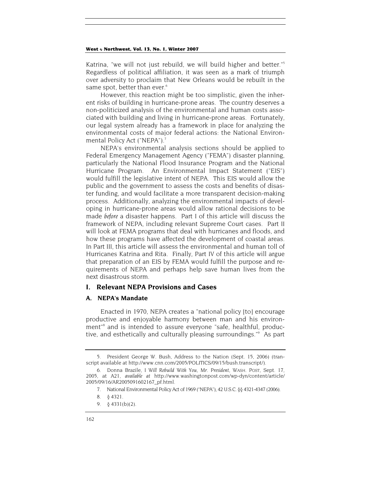Katrina, "we will not just rebuild, we will build higher and better."5 Regardless of political affiliation, it was seen as a mark of triumph over adversity to proclaim that New Orleans would be rebuilt in the same spot, better than ever.<sup>6</sup>

However, this reaction might be too simplistic, given the inherent risks of building in hurricane-prone areas. The country deserves a non-politicized analysis of the environmental and human costs associated with building and living in hurricane-prone areas. Fortunately, our legal system already has a framework in place for analyzing the environmental costs of major federal actions: the National Environmental Policy Act ("NEPA").<sup>7</sup>

NEPA's environmental analysis sections should be applied to Federal Emergency Management Agency ("FEMA") disaster planning, particularly the National Flood Insurance Program and the National Hurricane Program. An Environmental Impact Statement ("EIS") would fulfill the legislative intent of NEPA. This EIS would allow the public and the government to assess the costs and benefits of disaster funding, and would facilitate a more transparent decision-making process. Additionally, analyzing the environmental impacts of developing in hurricane-prone areas would allow rational decisions to be made *before* a disaster happens. Part I of this article will discuss the framework of NEPA, including relevant Supreme Court cases. Part II will look at FEMA programs that deal with hurricanes and floods, and how these programs have affected the development of coastal areas. In Part III, this article will assess the environmental and human toll of Hurricanes Katrina and Rita. Finally, Part IV of this article will argue that preparation of an EIS by FEMA would fulfill the purpose and requirements of NEPA and perhaps help save human lives from the next disastrous storm.

## **I. Relevant NEPA Provisions and Cases**

## **A. NEPA's Mandate**

Enacted in 1970, NEPA creates a "national policy [to] encourage productive and enjoyable harmony between man and his environment"8 and is intended to assure everyone "safe, healthful, productive, and esthetically and culturally pleasing surroundings."9 As part

<sup>5.</sup> President George W. Bush, Address to the Nation (Sept. 15, 2006) (transcript available at http://www.cnn.com/2005/POLITICS/09/15/bush.transcript/).

<sup>6.</sup> Donna Brazile, *I Will Rebuild With You, Mr. President*, WASH. POST, Sept. 17, 2005, at A21, *available at* http://www.washingtonpost.com/wp-dyn/content/article/ 2005/09/16/AR2005091602167\_pf.html.

<sup>7.</sup> National Environmental Policy Act of 1969 ("NEPA"), 42 U.S.C. §§ 4321-4347 (2006).

<sup>8. § 4321.</sup>

<sup>9. § 4331(</sup>b)(2).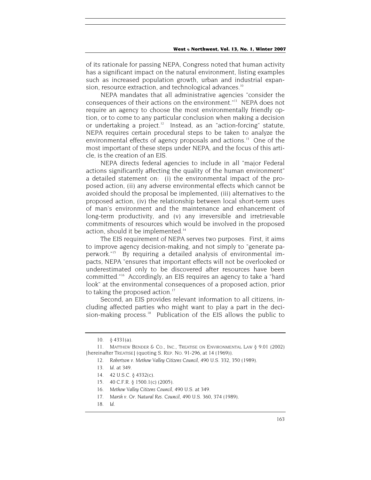of its rationale for passing NEPA, Congress noted that human activity has a significant impact on the natural environment, listing examples such as increased population growth, urban and industrial expansion, resource extraction, and technological advances.<sup>10</sup>

NEPA mandates that all administrative agencies "consider the consequences of their actions on the environment."11 NEPA does not require an agency to choose the most environmentally friendly option, or to come to any particular conclusion when making a decision or undertaking a project. $12$  Instead, as an "action-forcing" statute, NEPA requires certain procedural steps to be taken to analyze the environmental effects of agency proposals and actions.<sup>13</sup> One of the most important of these steps under NEPA, and the focus of this article, is the creation of an EIS.

NEPA directs federal agencies to include in all "major Federal actions significantly affecting the quality of the human environment" a detailed statement on: (i) the environmental impact of the proposed action, (ii) any adverse environmental effects which cannot be avoided should the proposal be implemented, (iii) alternatives to the proposed action, (iv) the relationship between local short-term uses of man's environment and the maintenance and enhancement of long-term productivity, and (v) any irreversible and irretrievable commitments of resources which would be involved in the proposed action, should it be implemented.<sup>14</sup>

The EIS requirement of NEPA serves two purposes. First, it aims to improve agency decision-making, and not simply to "generate paperwork."15 By requiring a detailed analysis of environmental impacts, NEPA "ensures that important effects will not be overlooked or underestimated only to be discovered after resources have been committed."16 Accordingly, an EIS requires an agency to take a "hard look" at the environmental consequences of a proposed action, prior to taking the proposed action.<sup>17</sup>

Second, an EIS provides relevant information to all citizens, including affected parties who might want to play a part in the decision-making process.<sup>18</sup> Publication of the EIS allows the public to

<sup>10. § 4331(</sup>a).

<sup>11.</sup> MATTHEW BENDER & CO., INC., TREATISE ON ENVIRONMENTAL LAW § 9.01 (2002) [hereinafter TREATISE] (quoting S. REP. NO. 91-296, at 14 (1969)).

<sup>12</sup>*. Robertson v. Methow Valley Citizens Council*, 490 U.S. 332, 350 (1989).

<sup>13</sup>*. Id*. at 349.

<sup>14. 42</sup> U.S.C. § 4332(c).

<sup>15. 40</sup> C.F.R. § 1500.1(c) (2005).

<sup>16</sup>*. Methow Valley Citizens Council*, 490 U.S. at 349.

<sup>17</sup>*. Marsh v. Or. Natural Res. Council*, 490 U.S. 360, 374 (1989).

<sup>18</sup>*. Id*.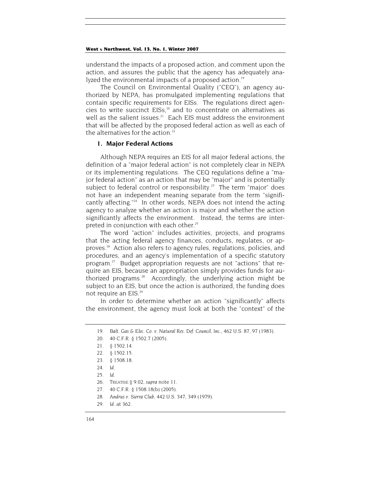understand the impacts of a proposed action, and comment upon the action, and assures the public that the agency has adequately analyzed the environmental impacts of a proposed action.<sup>19</sup>

The Council on Environmental Quality ("CEQ"), an agency authorized by NEPA, has promulgated implementing regulations that contain specific requirements for EISs. The regulations direct agencies to write succinct  $EISs<sub>i</sub><sup>20</sup>$  and to concentrate on alternatives as well as the salient issues. $21$  Each EIS must address the environment that will be affected by the proposed federal action as well as each of the alternatives for the action. $22$ 

## **1. Major Federal Actions**

Although NEPA requires an EIS for all major federal actions, the definition of a "major federal action" is not completely clear in NEPA or its implementing regulations. The CEQ regulations define a "major federal action" as an action that may be "major" and is potentially subject to federal control or responsibility.<sup>23</sup> The term "major" does not have an independent meaning separate from the term "significantly affecting."24 In other words, NEPA does not intend the acting agency to analyze whether an action is major and whether the action significantly affects the environment. Instead, the terms are interpreted in conjunction with each other.<sup>25</sup>

The word "action" includes activities, projects, and programs that the acting federal agency finances, conducts, regulates, or approves.26 Action also refers to agency rules, regulations, policies, and procedures, and an agency's implementation of a specific statutory program. $^{27}$  Budget appropriation requests are not "actions" that require an EIS, because an appropriation simply provides funds for authorized programs.28 Accordingly, the underlying action might be subject to an EIS, but once the action is authorized, the funding does not require an EIS.29

In order to determine whether an action "significantly" affects the environment, the agency must look at both the "context" of the

28*. Andrus v. Sierra Club*, 442 U.S. 347, 349 (1979).

<sup>19</sup>*. Balt. Gas & Elec. Co. v. Natural Res. Def. Council, Inc*., 462 U.S. 87, 97 (1983).

<sup>20. 40</sup> C.F.R. § 1502.7 (2005).

<sup>21. § 1502.14.</sup>

<sup>22. § 1502.15.</sup>

<sup>23. § 1508.18.</sup>

<sup>24</sup>*. Id.*

<sup>25</sup>*. Id.*

<sup>26.</sup> TREATISE § 9.02, *supra* note 11.

<sup>27. 40</sup> C.F.R. § 1508.18(b) (2005).

<sup>29</sup>*. Id*. at 362.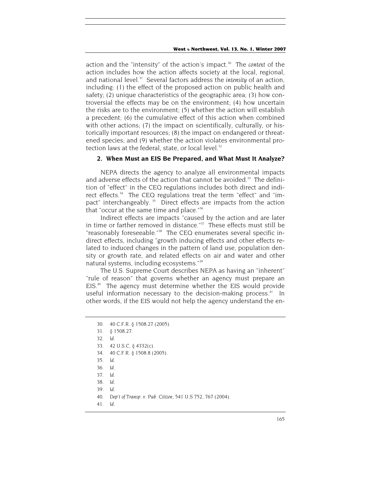action and the "intensity" of the action's impact.<sup>30</sup> The *context* of the action includes how the action affects society at the local, regional, and national level.<sup>31</sup> Several factors address the *intensity* of an action, including: (1) the effect of the proposed action on public health and safety; (2) unique characteristics of the geographic area; (3) how controversial the effects may be on the environment; (4) how uncertain the risks are to the environment; (5) whether the action will establish a precedent; (6) the cumulative effect of this action when combined with other actions; (7) the impact on scientifically, culturally, or historically important resources; (8) the impact on endangered or threatened species; and (9) whether the action violates environmental protection laws at the federal, state, or local level.<sup>32</sup>

## **2. When Must an EIS Be Prepared, and What Must It Analyze***?*

NEPA directs the agency to analyze all environmental impacts and adverse effects of the action that cannot be avoided.<sup>33</sup> The definition of "effect" in the CEQ regulations includes both direct and indirect effects.<sup>34</sup> The CEQ regulations treat the term "effect" and "impact" interchangeably.<sup>35</sup> Direct effects are impacts from the action that "occur at the same time and place."36

Indirect effects are impacts "caused by the action and are later in time or farther removed in distance."<sup>37</sup> These effects must still be "reasonably foreseeable."<sup>38</sup> The CEQ enumerates several specific indirect effects, including "growth inducing effects and other effects related to induced changes in the pattern of land use, population density or growth rate, and related effects on air and water and other natural systems, including ecosystems."<sup>39</sup>

The U.S. Supreme Court describes NEPA as having an "inherent" "rule of reason" that governs whether an agency must prepare an EIS.<sup>40</sup> The agency must determine whether the EIS would provide useful information necessary to the decision-making process. $41$  In other words, if the EIS would not help the agency understand the en-

- 31. § 1508.27.
- 32*. Id.*
- 33. 42 U.S.C. § 4332(c).
- 34. 40 C.F.R. § 1508.8 (2005).
- 35*. Id.*
- 36*. Id.*
- 37*. Id.*
- 38*. Id.*
- 39*. Id.*

41*. Id.*

<sup>30. 40</sup> C.F.R. § 1508.27 (2005).

<sup>40</sup>*. Dep't of Transp. v. Pub. Citizen*, 541 U.S 752, 767 (2004).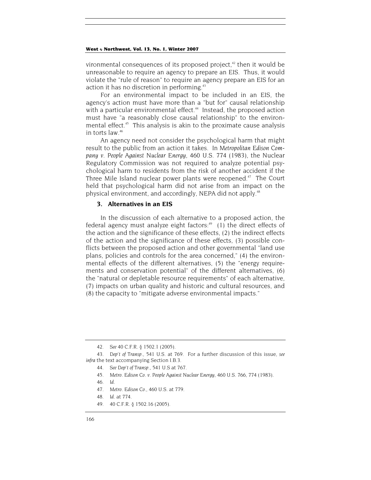vironmental consequences of its proposed project, $42$  then it would be unreasonable to require an agency to prepare an EIS. Thus, it would violate the "rule of reason" to require an agency prepare an EIS for an action it has no discretion in performing.<sup>43</sup>

For an environmental impact to be included in an EIS, the agency's action must have more than a "but for" causal relationship with a particular environmental effect.<sup>44</sup> Instead, the proposed action must have "a reasonably close causal relationship" to the environmental effect.<sup>45</sup> This analysis is akin to the proximate cause analysis in torts law.46

An agency need not consider the psychological harm that might result to the public from an action it takes. In *Metropolitan Edison Company v. People Against Nuclear Energy*, 460 U.S. 774 (1983), the Nuclear Regulatory Commission was not required to analyze potential psychological harm to residents from the risk of another accident if the Three Mile Island nuclear power plants were reopened.<sup>47</sup> The Court held that psychological harm did not arise from an impact on the physical environment, and accordingly, NEPA did not apply.<sup>48</sup>

## **3. Alternatives in an EIS**

In the discussion of each alternative to a proposed action, the federal agency must analyze eight factors: $49$  (1) the direct effects of the action and the significance of these effects, (2) the indirect effects of the action and the significance of these effects, (3) possible conflicts between the proposed action and other governmental "land use plans, policies and controls for the area concerned," (4) the environmental effects of the different alternatives, (5) the "energy requirements and conservation potential" of the different alternatives, (6) the "natural or depletable resource requirements" of each alternative, (7) impacts on urban quality and historic and cultural resources, and (8) the capacity to "mitigate adverse environmental impacts."

- 45*. Metro. Edison Co. v. People Against Nuclear Energy*, 460 U.S. 766, 774 (1983).
- 46*. Id*.
- 47*. Metro. Edison Co.*, 460 U.S. at 779.
- 48*. Id.* at 774.
- 49. 40 C.F.R. § 1502.16 (2005).

<sup>42</sup>*. See* 40 C.F.R. § 1502.1 (2005).

<sup>43</sup>*. Dep't of Transp*., 541 U.S. at 769. For a further discussion of this issue, *see infra* the text accompanying Section I.B.3.

<sup>44</sup>*. See Dep't of Transp.*, 541 U.S at 767.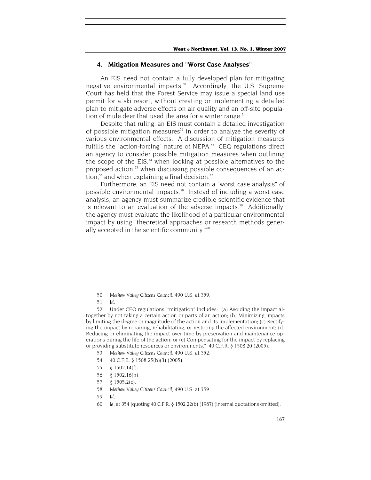## **4. Mitigation Measures and "Worst Case Analyses"**

An EIS need not contain a fully developed plan for mitigating negative environmental impacts.<sup>50</sup> Accordingly, the U.S. Supreme Court has held that the Forest Service may issue a special land use permit for a ski resort, without creating or implementing a detailed plan to mitigate adverse effects on air quality and an off-site population of mule deer that used the area for a winter range.<sup>51</sup>

Despite that ruling, an EIS must contain a detailed investigation of possible mitigation measures<sup>52</sup> in order to analyze the severity of various environmental effects. A discussion of mitigation measures fulfills the "action-forcing" nature of NEPA.<sup>53</sup> CEQ regulations direct an agency to consider possible mitigation measures when outlining the scope of the  $EIS<sub>1</sub><sup>54</sup>$  when looking at possible alternatives to the proposed action,<sup>55</sup> when discussing possible consequences of an action, $56$  and when explaining a final decision. $57$ 

Furthermore, an EIS need not contain a "worst case analysis" of possible environmental impacts.<sup>58</sup> Instead of including a worst case analysis, an agency must summarize credible scientific evidence that is relevant to an evaluation of the adverse impacts.<sup>59</sup> Additionally, the agency must evaluate the likelihood of a particular environmental impact by using "theoretical approaches or research methods generally accepted in the scientific community."<sup>60</sup>

- 53*. Methow Valley Citizens Council*, 490 U.S. at 352.
- 54. 40 C.F.R. § 1508.25(b)(3) (2005).
- 55. § 1502.14(f).
- 56. § 1502.16(h).
- 57. § 1505.2(c).
- 58*. Methow Valley Citizens Council*, 490 U.S. at 359.
- 59*. Id*.
- 60*. Id*. at 354 (quoting 40 C.F.R. § 1502.22(b) (1987) (internal quotations omitted).

<sup>50</sup>*. Methow Valley Citizens Council*, 490 U.S. at 359.

<sup>51</sup>*. Id*.

<sup>52.</sup> Under CEQ regulations, "mitigation" includes: "(a) Avoiding the impact altogether by not taking a certain action or parts of an action; (b) Minimizing impacts by limiting the degree or magnitude of the action and its implementation; (c) Rectifying the impact by repairing, rehabilitating, or restoring the affected environment; (d) Reducing or eliminating the impact over time by preservation and maintenance operations during the life of the action; or (e) Compensating for the impact by replacing or providing substitute resources or environments." 40 C.F.R. § 1508.20 (2005).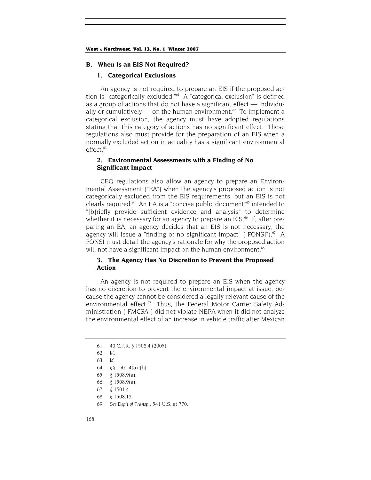#### **B. When Is an EIS Not Required?**

#### **1. Categorical Exclusions**

An agency is not required to prepare an EIS if the proposed action is "categorically excluded."61 A "categorical exclusion" is defined as a group of actions that do not have a significant effect — individually or cumulatively  $\frac{1}{2}$  on the human environment.<sup>62</sup> To implement a categorical exclusion, the agency must have adopted regulations stating that this category of actions has no significant effect. These regulations also must provide for the preparation of an EIS when a normally excluded action in actuality has a significant environmental effect.<sup>63</sup>

## **2. Environmental Assessments with a Finding of No Significant Impact**

CEQ regulations also allow an agency to prepare an Environmental Assessment ("EA") when the agency's proposed action is not categorically excluded from the EIS requirements, but an EIS is not clearly required.<sup>64</sup> An EA is a "concise public document"<sup>65</sup> intended to "[b]riefly provide sufficient evidence and analysis" to determine whether it is necessary for an agency to prepare an EIS.<sup>66</sup> If, after preparing an EA, an agency decides that an EIS is not necessary, the agency will issue a "finding of no significant impact" ("FONSI"). $67$  A FONSI must detail the agency's rationale for why the proposed action will not have a significant impact on the human environment.<sup>68</sup>

## **3. The Agency Has No Discretion to Prevent the Proposed Action**

An agency is not required to prepare an EIS when the agency has no discretion to prevent the environmental impact at issue, because the agency cannot be considered a legally relevant cause of the environmental effect.<sup>69</sup> Thus, the Federal Motor Carrier Safety Administration ("FMCSA") did not violate NEPA when it did not analyze the environmental effect of an increase in vehicle traffic after Mexican

69*. See Dep't of Transp.*, 541 U.S. at 770.

<sup>61. 40</sup> C.F.R. § 1508.4 (2005).

<sup>62</sup>*. Id.*

<sup>63</sup>*. Id.*

<sup>64. §§ 1501.4(</sup>a)-(b).

<sup>65. § 1508.9(</sup>a).

<sup>66. § 1508.9(</sup>a).

<sup>67. § 1501.4.</sup>

<sup>68. § 1508.13.</sup>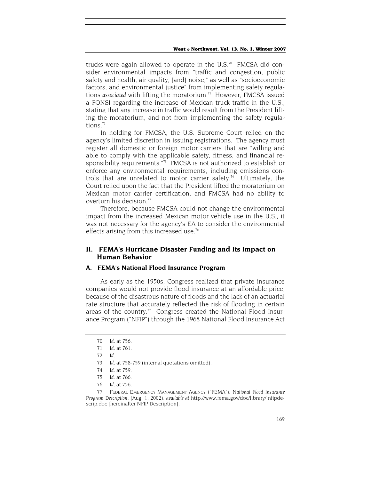trucks were again allowed to operate in the U.S.<sup>70</sup> FMCSA did consider environmental impacts from "traffic and congestion, public safety and health, air quality, [and] noise," as well as "socioeconomic factors, and environmental justice" from implementing safety regulations *associated* with lifting the moratorium.<sup>71</sup> However, FMCSA issued a FONSI regarding the increase of Mexican truck traffic in the U.S., stating that any increase in traffic would result from the President lifting the moratorium, and not from implementing the safety regulations $72$ 

In holding for FMCSA, the U.S. Supreme Court relied on the agency's limited discretion in issuing registrations. The agency must register all domestic or foreign motor carriers that are "willing and able to comply with the applicable safety, fitness, and financial responsibility requirements."<sup>73</sup> FMCSA is not authorized to establish or enforce any environmental requirements, including emissions controls that are unrelated to motor carrier safety.<sup>74</sup> Ultimately, the Court relied upon the fact that the President lifted the moratorium on Mexican motor carrier certification, and FMCSA had no ability to overturn his decision.<sup>75</sup>

Therefore, because FMCSA could not change the environmental impact from the increased Mexican motor vehicle use in the U.S., it was not necessary for the agency's EA to consider the environmental effects arising from this increased use.<sup>76</sup>

## **II. FEMA's Hurricane Disaster Funding and Its Impact on Human Behavior**

## **A. FEMA's National Flood Insurance Program**

As early as the 1950s, Congress realized that private insurance companies would not provide flood insurance at an affordable price, because of the disastrous nature of floods and the lack of an actuarial rate structure that accurately reflected the risk of flooding in certain areas of the country.<sup>77</sup> Congress created the National Flood Insurance Program ("NFIP") through the 1968 National Flood Insurance Act

<sup>70</sup>*. Id*. at 756.

<sup>71</sup>*. Id*. at 761.

<sup>72</sup>*. Id*.

<sup>73</sup>*. Id*. at 758-759 (internal quotations omitted).

<sup>74</sup>*. Id*. at 759.

<sup>75</sup>*. Id*. at 766.

<sup>76</sup>*. Id*. at 756.

<sup>77.</sup> FEDERAL EMERGENCY MANAGEMENT AGENCY ("FEMA"), *National Flood Insurance Program Description*, (Aug. 1, 2002), *available at* http://www.fema.gov/doc/library/ nfipdescrip.doc [hereinafter NFIP Description].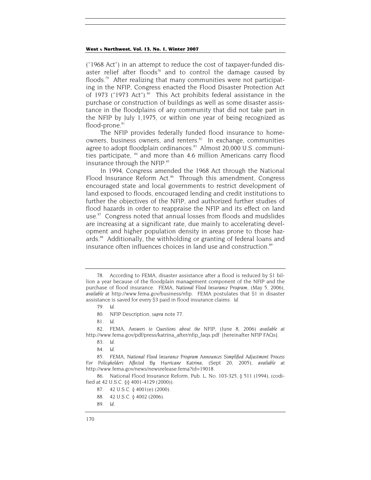("1968 Act") in an attempt to reduce the cost of taxpayer-funded disaster relief after floods<sup>78</sup> and to control the damage caused by floods.<sup>79</sup> After realizing that many communities were not participating in the NFIP, Congress enacted the Flood Disaster Protection Act of 1973 ("1973 Act").<sup>80</sup> This Act prohibits federal assistance in the purchase or construction of buildings as well as some disaster assistance in the floodplains of any community that did not take part in the NFIP by July 1,1975, or within one year of being recognized as  $floor$ -prone. $81$ 

The NFIP provides federally funded flood insurance to homeowners, business owners, and renters.<sup>82</sup> In exchange, communities agree to adopt floodplain ordinances.<sup>83</sup> Almost 20,000 U.S. communities participate, <sup>84</sup> and more than 4.6 million Americans carry flood insurance through the NFIP.<sup>85</sup>

In 1994, Congress amended the 1968 Act through the National Flood Insurance Reform Act.<sup>86</sup> Through this amendment, Congress encouraged state and local governments to restrict development of land exposed to floods, encouraged lending and credit institutions to further the objectives of the NFIP, and authorized further studies of flood hazards in order to reappraise the NFIP and its effect on land use.<sup>87</sup> Congress noted that annual losses from floods and mudslides are increasing at a significant rate, due mainly to accelerating development and higher population density in areas prone to those hazards.<sup>88</sup> Additionally, the withholding or granting of federal loans and insurance often influences choices in land use and construction.<sup>89</sup>

<sup>78.</sup> According to FEMA, disaster assistance after a flood is reduced by \$1 billion a year because of the floodplain management component of the NFIP and the purchase of flood insurance. FEMA, *National Flood Insurance Program*, (May 5, 2006), *available at* http://www.fema.gov/business/nfip. FEMA postulates that \$1 in disaster assistance is saved for every \$3 paid in flood insurance claims. *Id*.

<sup>79</sup>*. Id*.

<sup>80.</sup> NFIP Description, *supra* note 77.

<sup>81</sup>*. Id*.

<sup>82.</sup> FEMA, *Answers to Questions about the NFIP*, (June 8, 2006) *available at* http://www.fema.gov/pdf/press/katrina\_after/nfip\_faqs.pdf [hereinafter NFIP FAQs].

<sup>83</sup>*. Id*.

<sup>84</sup>*. Id*.

<sup>85.</sup> FEMA, *National Flood Insurance Program Announces Simplified Adjustment Process For Policyholders Affected By Hurricane Katrina*, (Sept 20, 2005), *available at*  http://www.fema.gov/news/newsrelease.fema?id=19018.

<sup>86.</sup> National Flood Insurance Reform, Pub. L. No. 103-325, § 511 (1994), (codified at 42 U.S.C. §§ 4001-4129 (2000)).

<sup>87. 42</sup> U.S.C. § 4001(e) (2000).

<sup>88. 42</sup> U.S.C. § 4002 (2006).

<sup>89</sup>*. Id.*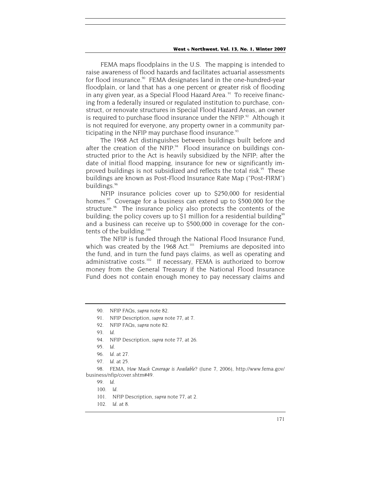FEMA maps floodplains in the U.S. The mapping is intended to raise awareness of flood hazards and facilitates actuarial assessments for flood insurance.<sup>90</sup> FEMA designates land in the one-hundred-year floodplain, or land that has a one percent or greater risk of flooding in any given year, as a Special Flood Hazard Area.<sup>91</sup> To receive financing from a federally insured or regulated institution to purchase, construct, or renovate structures in Special Flood Hazard Areas, an owner is required to purchase flood insurance under the NFIP. $92$  Although it is not required for everyone, any property owner in a community participating in the NFIP may purchase flood insurance. $93$ 

The 1968 Act distinguishes between buildings built before and after the creation of the NFIP. $94$  Flood insurance on buildings constructed prior to the Act is heavily subsidized by the NFIP; after the date of initial flood mapping, insurance for new or significantly improved buildings is not subsidized and reflects the total risk.<sup>95</sup> These buildings are known as Post-Flood Insurance Rate Map ("Post-FIRM") buildings.<sup>96</sup>

NFIP insurance policies cover up to \$250,000 for residential homes. $97$  Coverage for a business can extend up to \$500,000 for the structure.<sup>98</sup> The insurance policy also protects the contents of the building; the policy covers up to \$1 million for a residential building<sup>99</sup> and a business can receive up to \$500,000 in coverage for the contents of the building.<sup>100</sup>

The NFIP is funded through the National Flood Insurance Fund, which was created by the 1968 Act.<sup>101</sup> Premiums are deposited into the fund, and in turn the fund pays claims, as well as operating and administrative costs.<sup>102</sup> If necessary, FEMA is authorized to borrow money from the General Treasury if the National Flood Insurance Fund does not contain enough money to pay necessary claims and

94. NFIP Description, *supra* note 77, at 26.

<sup>90.</sup> NFIP FAQs, *supra* note 82.

<sup>91.</sup> NFIP Description, *supra* note 77, at 7.

<sup>92.</sup> NFIP FAQs, *supra* note 82.

<sup>93</sup>*. Id*.

<sup>95</sup>*. Id*.

<sup>96</sup>*. Id*. at 27.

<sup>97</sup>*. Id.* at 25.

<sup>98.</sup> FEMA, *How Much Coverage is Available?* (June 7, 2006), http://www.fema.gov/ business/nfip/cover.shtm#49.

<sup>99</sup>*. Id*.

<sup>100</sup>*. Id*.

<sup>101.</sup> NFIP Description, *supra* note 77, at 2.

<sup>102</sup>*. Id*. at 8.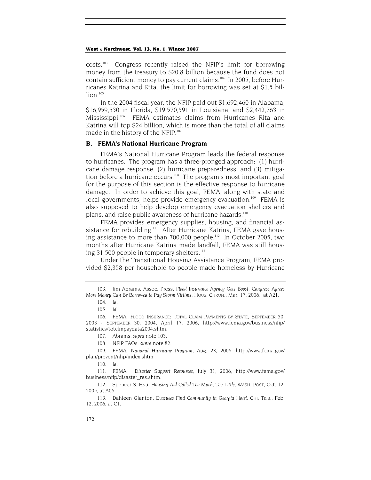costs.103 Congress recently raised the NFIP's limit for borrowing money from the treasury to \$20.8 billion because the fund does not contain sufficient money to pay current claims.<sup>104</sup> In 2005, before Hurricanes Katrina and Rita, the limit for borrowing was set at \$1.5 bil- $\ln 105$ 

In the 2004 fiscal year, the NFIP paid out \$1,692,460 in Alabama, \$16,959,530 in Florida, \$19,570,591 in Louisiana, and \$2,442,763 in Mississippi.<sup>106</sup> FEMA estimates claims from Hurricanes Rita and Katrina will top \$24 billion, which is more than the total of all claims made in the history of the NFIP.<sup>107</sup>

## **B. FEMA's National Hurricane Program**

FEMA's National Hurricane Program leads the federal response to hurricanes. The program has a three-pronged approach: (1) hurricane damage response; (2) hurricane preparedness; and (3) mitigation before a hurricane occurs.<sup>108</sup> The program's most important goal for the purpose of this section is the effective response to hurricane damage. In order to achieve this goal, FEMA, along with state and local governments, helps provide emergency evacuation.<sup>109</sup> FEMA is also supposed to help develop emergency evacuation shelters and plans, and raise public awareness of hurricane hazards.<sup>110</sup>

FEMA provides emergency supplies, housing, and financial assistance for rebuilding.<sup>111</sup> After Hurricane Katrina, FEMA gave housing assistance to more than 700,000 people.112 In October 2005, two months after Hurricane Katrina made landfall, FEMA was still housing  $31,500$  people in temporary shelters.<sup>113</sup>

Under the Transitional Housing Assistance Program, FEMA provided \$2,358 per household to people made homeless by Hurricane

111. FEMA, *Disaster Support Resources*, July 31, 2006, http://www.fema.gov/ business/nfip/disaster\_res.shtm.

<sup>103.</sup> Jim Abrams, Assoc. Press, *Flood Insurance Agency Gets Boost; Congress Agrees More Money Can Be Borrowed to Pay Storm Victims*, HOUS. CHRON., Mar. 17, 2006, at A21.

<sup>104</sup>*. Id*.

<sup>105</sup>*. Id*.

<sup>106.</sup> FEMA, FLOOD INSURANCE: TOTAL CLAIM PAYMENTS BY STATE, SEPTEMBER 30, 2003 - SEPTEMBER 30, 2004, April 17, 2006, http://www.fema.gov/business/nfip/ statistics/totclmpaydata2004.shtm.

<sup>107.</sup> Abrams, *supra* note 103.

<sup>108.</sup> NFIP FAQs, *supra* note 82.

<sup>109.</sup> FEMA, *National Hurricane Program*, Aug. 23, 2006, http://www.fema.gov/ plan/prevent/nhp/index.shtm.

<sup>110</sup>*. Id*.

<sup>112.</sup> Spencer S. Hsu, *Housing Aid Called Too Much, Too Little*, WASH. POST, Oct. 12, 2005, at A06.

<sup>113.</sup> Dahleen Glanton, *Evacuees Find Community in Georgia Hotel*, CHI. TRIB., Feb. 12, 2006, at C1.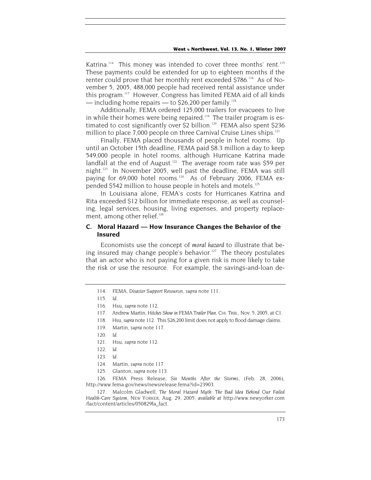Katrina.<sup>114</sup> This money was intended to cover three months' rent.<sup>115</sup> These payments could be extended for up to eighteen months if the renter could prove that her monthly rent exceeded \$786.<sup>116</sup> As of November 5, 2005, 488,000 people had received rental assistance under this program.<sup>117</sup> However, Congress has limited FEMA aid of all kinds  $-$  including home repairs  $-$  to \$26,200 per family.<sup>118</sup>

Additionally, FEMA ordered 125,000 trailers for evacuees to live in while their homes were being repaired.<sup>119</sup> The trailer program is estimated to cost significantly over \$2 billion.120 FEMA also spent \$236 million to place 7,000 people on three Carnival Cruise Lines ships.<sup>121</sup>

Finally, FEMA placed thousands of people in hotel rooms. Up until an October 15th deadline, FEMA paid \$8.3 million a day to keep 549,000 people in hotel rooms, although Hurricane Katrina made landfall at the end of August.<sup>122</sup> The average room rate was \$59 per night.123 In November 2005, well past the deadline, FEMA was still paying for 69,000 hotel rooms.<sup>124</sup> As of February 2006, FEMA expended \$542 million to house people in hotels and motels.<sup>125</sup>

In Louisiana alone, FEMA's costs for Hurricanes Katrina and Rita exceeded \$12 billion for immediate response, as well as counseling, legal services, housing, living expenses, and property replacement, among other relief.<sup>126</sup>

## **C. Moral Hazard — How Insurance Changes the Behavior of the Insured**

Economists use the concept of *moral hazard* to illustrate that being insured may change people's behavior.<sup>127</sup> The theory postulates that an actor who is not paying for a given risk is more likely to take the risk or use the resource. For example, the savings-and-loan de-

126. FEMA Press Release, *Six Months After the Storms*, (Feb. 28, 2006), http://www.fema.gov/news/newsrelease.fema?id=23903.

127. Malcolm Gladwell, *The Moral Hazard Myth: The Bad Idea Behind Our Failed Health-Care System*, NEW YORKER, Aug. 29, 2005, *available at* http://www.newyorker.com /fact/content/articles/050829fa\_fact.

<sup>114.</sup> FEMA, *Disaster Support Resources*, *supra* note 111.

<sup>115</sup>*. Id*.

<sup>116.</sup> Hsu, *supra* note 112.

<sup>117.</sup> Andrew Martin, *Hitches Show in FEMA Trailer Plan*, CHI. TRIB., Nov. 5, 2005, at C1.

<sup>118.</sup> Hsu, *supra* note 112. This \$26,200 limit does not apply to flood damage claims.

<sup>119.</sup> Martin, *supra* note 117.

<sup>120</sup>*. Id*.

<sup>121.</sup> Hsu, *supra* note 112.

<sup>122</sup>*. Id*.

<sup>123</sup>*. Id*.

<sup>124.</sup> Martin, *supra* note 117.

<sup>125.</sup> Glanton, *supra* note 113.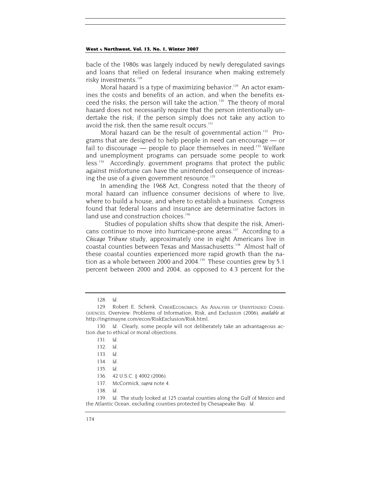bacle of the 1980s was largely induced by newly deregulated savings and loans that relied on federal insurance when making extremely risky investments.<sup>128</sup>

Moral hazard is a type of maximizing behavior.<sup>129</sup> An actor examines the costs and benefits of an action, and when the benefits exceed the risks, the person will take the action.<sup>130</sup> The theory of moral hazard does not necessarily require that the person intentionally undertake the risk; if the person simply does not take any action to avoid the risk, then the same result occurs.<sup>131</sup>

Moral hazard can be the result of governmental action.<sup>132</sup> Programs that are designed to help people in need can encourage — or fail to discourage  $-$  people to place themselves in need.<sup>133</sup> Welfare and unemployment programs can persuade some people to work less.134 Accordingly, government programs that protect the public against misfortune can have the unintended consequence of increasing the use of a given government resource. $135$ 

In amending the 1968 Act, Congress noted that the theory of moral hazard can influence consumer decisions of where to live, where to build a house, and where to establish a business. Congress found that federal loans and insurance are determinative factors in land use and construction choices.<sup>136</sup>

 Studies of population shifts show that despite the risk, Americans continue to move into hurricane-prone areas.<sup>137</sup> According to a *Chicago Tribune* study, approximately one in eight Americans live in coastal counties between Texas and Massachusetts.<sup>138</sup> Almost half of these coastal counties experienced more rapid growth than the nation as a whole between 2000 and 2004.<sup>139</sup> These counties grew by 5.1 percent between 2000 and 2004, as opposed to 4.3 percent for the

<sup>128</sup>*. Id*.

<sup>129.</sup> Robert E. Schenk, CYBERECONOMICS: AN ANALYSIS OF UNINTENDED CONSE-QUENCES, Overview: Problems of Information, Risk, and Exclusion (2006), *available at*  http://ingrimayne.com/econ/RiskExclusion/Risk.html.

<sup>130</sup>*. Id*. Clearly, some people will not deliberately take an advantageous action due to ethical or moral objections.

<sup>131</sup>*. Id*.

<sup>132</sup>*. Id*.

<sup>133</sup>*. Id*.

<sup>134</sup>*. Id*.

<sup>135</sup>*. Id*.

<sup>136. 42</sup> U.S.C. § 4002 (2006).

<sup>137.</sup> McCormick, *supra* note 4.

<sup>138</sup>*. Id*.

<sup>139</sup>*. Id*. The study looked at 125 coastal counties along the Gulf of Mexico and the Atlantic Ocean, excluding counties protected by Chesapeake Bay. *Id*.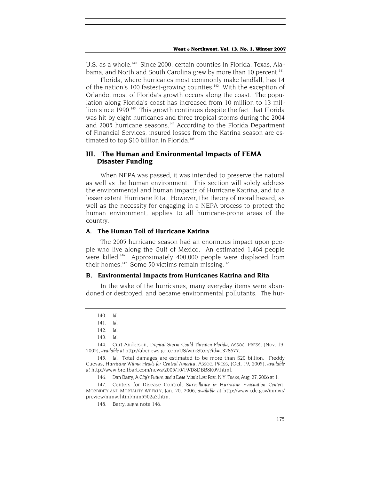U.S. as a whole.<sup>140</sup> Since 2000, certain counties in Florida, Texas, Alabama, and North and South Carolina grew by more than 10 percent.<sup>141</sup>

Florida, where hurricanes most commonly make landfall, has 14 of the nation's 100 fastest-growing counties.<sup>142</sup> With the exception of Orlando, most of Florida's growth occurs along the coast. The population along Florida's coast has increased from 10 million to 13 million since 1990.<sup>143</sup> This growth continues despite the fact that Florida was hit by eight hurricanes and three tropical storms during the 2004 and 2005 hurricane seasons.<sup>144</sup> According to the Florida Department of Financial Services, insured losses from the Katrina season are estimated to top \$10 billion in Florida.<sup>145</sup>

## **III. The Human and Environmental Impacts of FEMA Disaster Funding**

When NEPA was passed, it was intended to preserve the natural as well as the human environment. This section will solely address the environmental and human impacts of Hurricane Katrina, and to a lesser extent Hurricane Rita. However, the theory of moral hazard, as well as the necessity for engaging in a NEPA process to protect the human environment, applies to all hurricane-prone areas of the country.

## **A. The Human Toll of Hurricane Katrina**

The 2005 hurricane season had an enormous impact upon people who live along the Gulf of Mexico. An estimated 1,464 people were killed.<sup>146</sup> Approximately 400,000 people were displaced from their homes.<sup>147</sup> Some 50 victims remain missing.<sup>148</sup>

#### **B. Environmental Impacts from Hurricanes Katrina and Rita**

In the wake of the hurricanes, many everyday items were abandoned or destroyed, and became environmental pollutants. The hur-

144. Curt Anderson, *Tropical Storm Could Threaten Florida*, ASSOC. PRESS, (Nov. 19, 2005), *available at* http://abcnews.go.com/US/wireStory?id=1328677.

145*. Id*. Total damages are estimated to be more than \$20 billion. Freddy Cuevas, *Hurricane Wilma Heads for Central America*, ASSOC. PRESS, (Oct. 19, 2005), *available at* http://www.breitbart.com/news/2005/10/19/D8DBB8K09.html.

147. Centers for Disease Control, *Surveillance in Hurricane Evacuation Centers*, MORBIDITY AND MORTALITY WEEKLY, Jan. 20, 2006, *available* at http://www.cdc.gov/mmwr/ preview/mmwrhtml/mm5502a3.htm*.*

<sup>140</sup>*. Id*.

<sup>141</sup>*. Id*.

<sup>142</sup>*. Id*.

<sup>143</sup>*. Id*.

<sup>146.</sup> Dan Barry, *A City's Future, and a Dead Man's Lost Past*, N.Y. TIMES, Aug. 27, 2006 at 1.

<sup>148.</sup> Barry, *supra* note 146.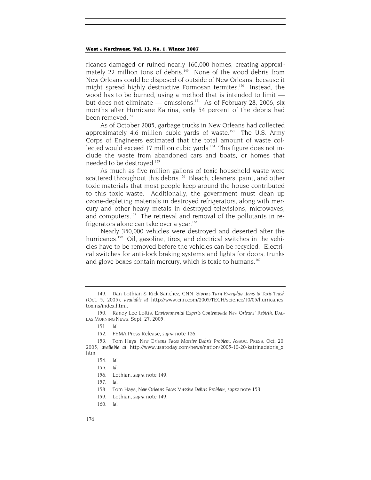ricanes damaged or ruined nearly 160,000 homes, creating approximately 22 million tons of debris.<sup>149</sup> None of the wood debris from New Orleans could be disposed of outside of New Orleans, because it might spread highly destructive Formosan termites.<sup>150</sup> Instead, the wood has to be burned, using a method that is intended to limit but does not eliminate — emissions.<sup>151</sup> As of February 28, 2006, six months after Hurricane Katrina, only 54 percent of the debris had been removed<sup>152</sup>

As of October 2005, garbage trucks in New Orleans had collected approximately 4.6 million cubic yards of waste.<sup>153</sup> The U.S. Army Corps of Engineers estimated that the total amount of waste collected would exceed 17 million cubic vards.<sup>154</sup> This figure does not include the waste from abandoned cars and boats, or homes that needed to be destroyed.155

As much as five million gallons of toxic household waste were scattered throughout this debris.<sup>156</sup> Bleach, cleaners, paint, and other toxic materials that most people keep around the house contributed to this toxic waste. Additionally, the government must clean up ozone-depleting materials in destroyed refrigerators, along with mercury and other heavy metals in destroyed televisions, microwaves, and computers.<sup>157</sup> The retrieval and removal of the pollutants in refrigerators alone can take over a year.<sup>158</sup>

Nearly 350,000 vehicles were destroyed and deserted after the hurricanes.<sup>159</sup> Oil, gasoline, tires, and electrical switches in the vehicles have to be removed before the vehicles can be recycled. Electrical switches for anti-lock braking systems and lights for doors, trunks and glove boxes contain mercury, which is toxic to humans.<sup>160</sup>

152. FEMA Press Release, *supra* note 126.

158. Tom Hays, *New Orleans Faces Massive Debris Problem*, *supra* note 153.

<sup>149.</sup> Dan Lothian & Rick Sanchez, CNN, *Storms Turn Everyday Items to Toxic Trash* (Oct. 5, 2005), *available at* http://www.cnn.com/2005/TECH/science/10/05/hurricanes. toxins/index.html.

<sup>150.</sup> Randy Lee Loftis, *Environmental Experts Contemplate New Orleans' Rebirth*, DAL-LAS MORNING NEWS, Sept. 27, 2005.

<sup>151</sup>*. Id*.

<sup>153.</sup> Tom Hays, *New Orleans Faces Massive Debris Problem*, ASSOC. PRESS, Oct. 20, 2005, *available at* http://www.usatoday.com/news/nation/2005-10-20-katrinadebris\_x. htm.

<sup>154</sup>*. Id*.

<sup>155</sup>*. Id*.

<sup>156.</sup> Lothian, *supra* note 149.

<sup>157</sup>*. Id*.

<sup>159.</sup> Lothian, *supra* note 149.

<sup>160</sup>*. Id*.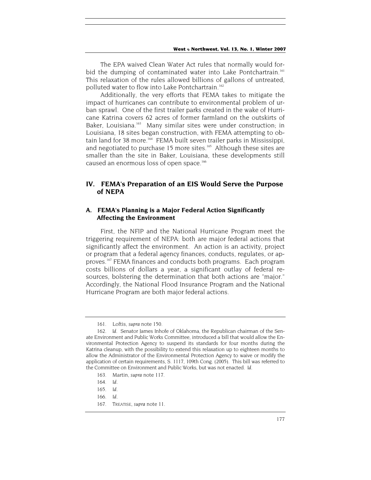The EPA waived Clean Water Act rules that normally would forbid the dumping of contaminated water into Lake Pontchartrain.<sup>161</sup> This relaxation of the rules allowed billions of gallons of untreated, polluted water to flow into Lake Pontchartrain.<sup>162</sup>

Additionally, the very efforts that FEMA takes to mitigate the impact of hurricanes can contribute to environmental problem of urban sprawl. One of the first trailer parks created in the wake of Hurricane Katrina covers 62 acres of former farmland on the outskirts of Baker, Louisiana.<sup>163</sup> Many similar sites were under construction; in Louisiana, 18 sites began construction, with FEMA attempting to obtain land for 38 more.<sup>164</sup> FEMA built seven trailer parks in Mississippi, and negotiated to purchase 15 more sites.<sup>165</sup> Although these sites are smaller than the site in Baker, Louisiana, these developments still caused an enormous loss of open space.<sup>166</sup>

## **IV. FEMA's Preparation of an EIS Would Serve the Purpose of NEPA**

## **A. FEMA's Planning is a Major Federal Action Significantly Affecting the Environment**

First, the NFIP and the National Hurricane Program meet the triggering requirement of NEPA: both are major federal actions that significantly affect the environment. An action is an activity, project or program that a federal agency finances, conducts, regulates, or approves.167 FEMA finances and conducts both programs. Each program costs billions of dollars a year, a significant outlay of federal resources, bolstering the determination that both actions are "major." Accordingly, the National Flood Insurance Program and the National Hurricane Program are both major federal actions.

<sup>161.</sup> Loftis, *supra* note 150.

<sup>162</sup>*. Id*. Senator James Inhofe of Oklahoma, the Republican chairman of the Senate Environment and Public Works Committee, introduced a bill that would allow the Environmental Protection Agency to suspend its standards for four months during the Katrina cleanup, with the possibility to extend this relaxation up to eighteen months to allow the Administrator of the Environmental Protection Agency to waive or modify the application of certain requirements, S. 1117, 109th Cong. (2005). This bill was referred to the Committee on Environment and Public Works, but was not enacted. *Id*.

<sup>163.</sup> Martin, *supra* note 117.

<sup>164</sup>*. Id*.

<sup>165</sup>*. Id*.

<sup>166</sup>*. Id*.

<sup>167.</sup> TREATISE, *supra* note 11.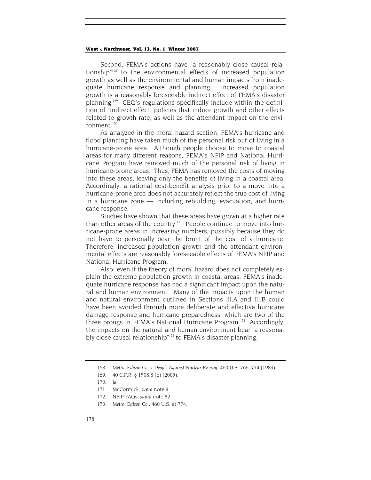Second, FEMA's actions have "a reasonably close causal relationship"168 to the environmental effects of increased population growth as well as the environmental and human impacts from inadequate hurricane response and planning. Increased population growth is a reasonably foreseeable indirect effect of FEMA's disaster planning.169 CEQ's regulations specifically include within the definition of "indirect effect" policies that induce growth and other effects related to growth rate, as well as the attendant impact on the environment $170$ 

As analyzed in the moral hazard section, FEMA's hurricane and flood planning have taken much of the personal risk out of living in a hurricane-prone area. Although people choose to move to coastal areas for many different reasons, FEMA's NFIP and National Hurricane Program have removed much of the personal risk of living in hurricane-prone areas. Thus, FEMA has removed the costs of moving into these areas, leaving only the benefits of living in a coastal area. Accordingly, a rational cost-benefit analysis prior to a move into a hurricane-prone area does not accurately reflect the true cost of living in a hurricane zone — including rebuilding, evacuation, and hurricane response.

Studies have shown that these areas have grown at a higher rate than other areas of the country.<sup>171</sup> People continue to move into hurricane-prone areas in increasing numbers, possibly because they do not have to personally bear the brunt of the cost of a hurricane. Therefore, increased population growth and the attendant environmental effects are reasonably foreseeable effects of FEMA's NFIP and National Hurricane Program.

Also, even if the theory of moral hazard does not completely explain the extreme population growth in coastal areas, FEMA's inadequate hurricane response has had a significant impact upon the natural and human environment. Many of the impacts upon the human and natural environment outlined in Sections III.A and III.B could have been avoided through more deliberate and effective hurricane damage response and hurricane preparedness, which are two of the three prongs in FEMA's National Hurricane Program.<sup>172</sup> Accordingly, the impacts on the natural and human environment bear "a reasonably close causal relationship"<sup>173</sup> to FEMA's disaster planning.

<sup>168</sup>*. Metro. Edison Co. v. People Against Nuclear Energy*, 460 U.S. 766, 774 (1983).

<sup>169. 40</sup> C.F.R. § 1508.8 (b) (2005).

<sup>170</sup>*. Id*.

<sup>171.</sup> McCormick, *supra* note 4.

<sup>172.</sup> NFIP FAQs, *supra* note 82.

<sup>173</sup>*. Metro. Edison Co.*, 460 U.S. at 774.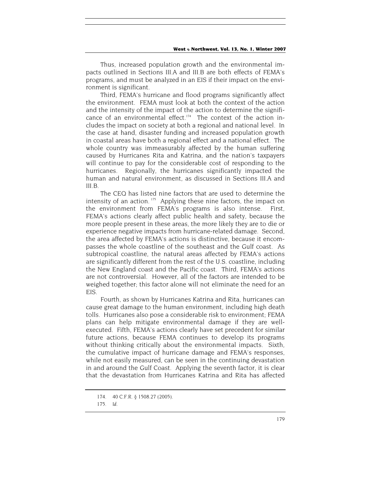Thus, increased population growth and the environmental impacts outlined in Sections III.A and III.B are both effects of FEMA's programs, and must be analyzed in an EIS if their impact on the environment is significant*.*

Third, FEMA's hurricane and flood programs significantly affect the environment. FEMA must look at both the context of the action and the intensity of the impact of the action to determine the significance of an environmental effect. $174$  The context of the action includes the impact on society at both a regional and national level. In the case at hand, disaster funding and increased population growth in coastal areas have both a regional effect and a national effect. The whole country was immeasurably affected by the human suffering caused by Hurricanes Rita and Katrina, and the nation's taxpayers will continue to pay for the considerable cost of responding to the hurricanes. Regionally, the hurricanes significantly impacted the human and natural environment, as discussed in Sections III.A and III.B.

The CEQ has listed nine factors that are used to determine the intensity of an action.  $175$  Applying these nine factors, the impact on the environment from FEMA's programs is also intense. First, FEMA's actions clearly affect public health and safety, because the more people present in these areas, the more likely they are to die or experience negative impacts from hurricane-related damage. Second, the area affected by FEMA's actions is distinctive, because it encompasses the whole coastline of the southeast and the Gulf coast. As subtropical coastline, the natural areas affected by FEMA's actions are significantly different from the rest of the U.S. coastline, including the New England coast and the Pacific coast. Third, FEMA's actions are not controversial. However, all of the factors are intended to be weighed together; this factor alone will not eliminate the need for an EIS.

Fourth, as shown by Hurricanes Katrina and Rita, hurricanes can cause great damage to the human environment, including high death tolls. Hurricanes also pose a considerable risk to environment; FEMA plans can help mitigate environmental damage if they are wellexecuted. Fifth, FEMA's actions clearly have set precedent for similar future actions, because FEMA continues to develop its programs without thinking critically about the environmental impacts. Sixth, the cumulative impact of hurricane damage and FEMA's responses, while not easily measured, can be seen in the continuing devastation in and around the Gulf Coast. Applying the seventh factor, it is clear that the devastation from Hurricanes Katrina and Rita has affected

<sup>174. 40</sup> C.F.R. § 1508.27 (2005).

<sup>175</sup>*. Id.*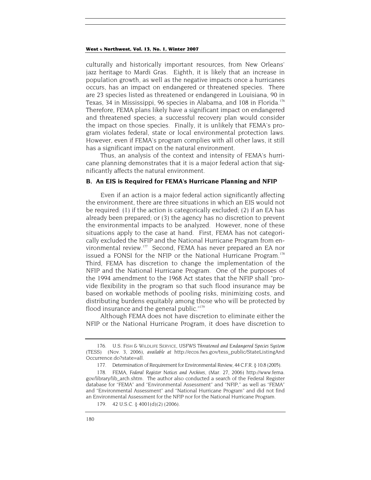culturally and historically important resources, from New Orleans' jazz heritage to Mardi Gras. Eighth, it is likely that an increase in population growth, as well as the negative impacts once a hurricanes occurs, has an impact on endangered or threatened species. There are 23 species listed as threatened or endangered in Louisiana, 90 in Texas, 34 in Mississippi, 96 species in Alabama, and 108 in Florida.<sup>176</sup> Therefore, FEMA plans likely have a significant impact on endangered and threatened species; a successful recovery plan would consider the impact on those species. Finally, it is unlikely that FEMA's program violates federal, state or local environmental protection laws. However, even if FEMA's program complies with all other laws, it still has a significant impact on the natural environment.

Thus, an analysis of the context and intensity of FEMA's hurricane planning demonstrates that it is a major federal action that significantly affects the natural environment.

## **B. An EIS is Required for FEMA's Hurricane Planning and NFIP**

Even if an action is a major federal action significantly affecting the environment, there are three situations in which an EIS would not be required: (1) if the action is categorically excluded; (2) if an EA has already been prepared; or (3) the agency has no discretion to prevent the environmental impacts to be analyzed. However, none of these situations apply to the case at hand. First, FEMA has not categorically excluded the NFIP and the National Hurricane Program from environmental review.177 Second, FEMA has never prepared an EA nor issued a FONSI for the NFIP or the National Hurricane Program.<sup>178</sup> Third, FEMA has discretion to change the implementation of the NFIP and the National Hurricane Program. One of the purposes of the 1994 amendment to the 1968 Act states that the NFIP shall "provide flexibility in the program so that such flood insurance may be based on workable methods of pooling risks, minimizing costs, and distributing burdens equitably among those who will be protected by flood insurance and the general public."179

Although FEMA does not have discretion to eliminate either the NFIP or the National Hurricane Program, it does have discretion to

<sup>176.</sup> U.S. FISH & WILDLIFE SERVICE, *USFWS Threatened and Endangered Species System (TESS)* (Nov. 3, 2006), *available at* http://ecos.fws.gov/tess\_public/StateListingAnd Occurrence.do?state=all.

<sup>177.</sup> Determination of Requirement for Environmental Review, 44 C.F.R. § 10.8 (2005).

<sup>178.</sup> FEMA, *Federal Register Notices and Archives*, (Mar. 27, 2006) http://www.fema. gov/library/lib\_arch.shtm. The author also conducted a search of the Federal Register database for "FEMA" and "Environmental Assessment" and "NFIP," as well as "FEMA" and "Environmental Assessment" and "National Hurricane Program" and did not find an Environmental Assessment for the NFIP nor for the National Hurricane Program.

<sup>179. 42</sup> U.S.C. § 4001(d)(2) (2006).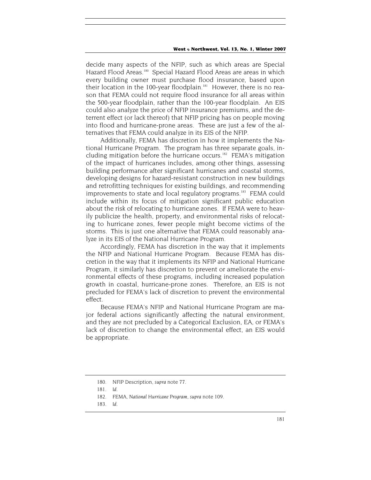decide many aspects of the NFIP, such as which areas are Special Hazard Flood Areas.<sup>180</sup> Special Hazard Flood Areas are areas in which every building owner must purchase flood insurance, based upon their location in the 100-year floodplain.<sup>181</sup> However, there is no reason that FEMA could not require flood insurance for all areas within the 500-year floodplain, rather than the 100-year floodplain. An EIS could also analyze the price of NFIP insurance premiums, and the deterrent effect (or lack thereof) that NFIP pricing has on people moving into flood and hurricane-prone areas. These are just a few of the alternatives that FEMA could analyze in its EIS of the NFIP.

Additionally, FEMA has discretion in how it implements the National Hurricane Program. The program has three separate goals, including mitigation before the hurricane occurs.<sup>182</sup> FEMA's mitigation of the impact of hurricanes includes, among other things, assessing building performance after significant hurricanes and coastal storms, developing designs for hazard-resistant construction in new buildings and retrofitting techniques for existing buildings, and recommending improvements to state and local regulatory programs.<sup>183</sup> FEMA could include within its focus of mitigation significant public education about the risk of relocating to hurricane zones. If FEMA were to heavily publicize the health, property, and environmental risks of relocating to hurricane zones, fewer people might become victims of the storms. This is just one alternative that FEMA could reasonably analyze in its EIS of the National Hurricane Program.

Accordingly, FEMA has discretion in the way that it implements the NFIP and National Hurricane Program. Because FEMA has discretion in the way that it implements its NFIP and National Hurricane Program, it similarly has discretion to prevent or ameliorate the environmental effects of these programs, including increased population growth in coastal, hurricane-prone zones. Therefore, an EIS is not precluded for FEMA's lack of discretion to prevent the environmental effect.

Because FEMA's NFIP and National Hurricane Program are major federal actions significantly affecting the natural environment, and they are not precluded by a Categorical Exclusion, EA, or FEMA's lack of discretion to change the environmental effect, an EIS would be appropriate.

<sup>180.</sup> NFIP Description, *supra* note 77.

<sup>181</sup>*. Id*.

<sup>182.</sup> FEMA, *National Hurricane Program*, *supra* note 109.

<sup>183</sup>*. Id*.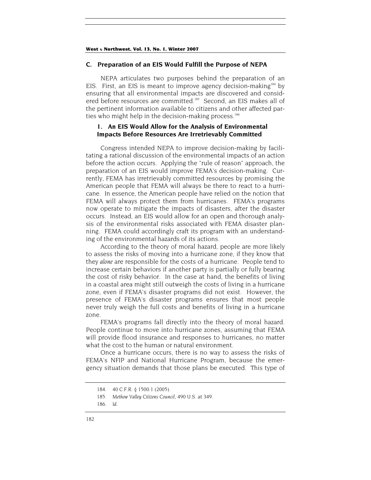## **C. Preparation of an EIS Would Fulfill the Purpose of NEPA**

NEPA articulates two purposes behind the preparation of an EIS. First, an EIS is meant to improve agency decision-making<sup>184</sup> by ensuring that all environmental impacts are discovered and considered before resources are committed.<sup>185</sup> Second, an EIS makes all of the pertinent information available to citizens and other affected parties who might help in the decision-making process.<sup>186</sup>

## **1. An EIS Would Allow for the Analysis of Environmental Impacts Before Resources Are Irretrievably Committed**

Congress intended NEPA to improve decision-making by facilitating a rational discussion of the environmental impacts of an action before the action occurs. Applying the "rule of reason" approach, the preparation of an EIS would improve FEMA's decision-making. Currently, FEMA has irretrievably committed resources by promising the American people that FEMA will always be there to react to a hurricane. In essence, the American people have relied on the notion that FEMA will always protect them from hurricanes. FEMA's programs now operate to mitigate the impacts of disasters, after the disaster occurs. Instead, an EIS would allow for an open and thorough analysis of the environmental risks associated with FEMA disaster planning. FEMA could accordingly craft its program with an understanding of the environmental hazards of its actions.

According to the theory of moral hazard, people are more likely to assess the risks of moving into a hurricane zone, if they know that they *alone* are responsible for the costs of a hurricane. People tend to increase certain behaviors if another party is partially or fully bearing the cost of risky behavior. In the case at hand, the benefits of living in a coastal area might still outweigh the costs of living in a hurricane zone, even if FEMA's disaster programs did not exist. However, the presence of FEMA's disaster programs ensures that most people never truly weigh the full costs and benefits of living in a hurricane zone.

FEMA's programs fall directly into the theory of moral hazard. People continue to move into hurricane zones, assuming that FEMA will provide flood insurance and responses to hurricanes, no matter what the cost to the human or natural environment.

Once a hurricane occurs, there is no way to assess the risks of FEMA's NFIP and National Hurricane Program, because the emergency situation demands that those plans be executed. This type of

<sup>184. 40</sup> C.F.R. § 1500.1 (2005).

<sup>185</sup>*. Methow Valley Citizens Council*, 490 U.S. at 349.

<sup>186</sup>*. Id*.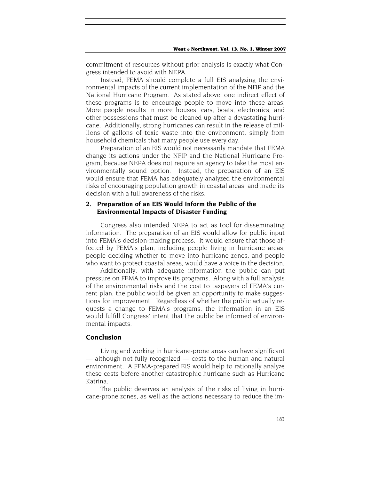commitment of resources without prior analysis is exactly what Congress intended to avoid with NEPA.

Instead, FEMA should complete a full EIS analyzing the environmental impacts of the current implementation of the NFIP and the National Hurricane Program. As stated above, one indirect effect of these programs is to encourage people to move into these areas. More people results in more houses, cars, boats, electronics, and other possessions that must be cleaned up after a devastating hurricane. Additionally, strong hurricanes can result in the release of millions of gallons of toxic waste into the environment, simply from household chemicals that many people use every day.

Preparation of an EIS would not necessarily mandate that FEMA change its actions under the NFIP and the National Hurricane Program, because NEPA does not require an agency to take the most environmentally sound option. Instead, the preparation of an EIS would ensure that FEMA has adequately analyzed the environmental risks of encouraging population growth in coastal areas, and made its decision with a full awareness of the risks.

## **2. Preparation of an EIS Would Inform the Public of the Environmental Impacts of Disaster Funding**

Congress also intended NEPA to act as tool for disseminating information. The preparation of an EIS would allow for public input into FEMA's decision-making process. It would ensure that those affected by FEMA's plan, including people living in hurricane areas, people deciding whether to move into hurricane zones, and people who want to protect coastal areas, would have a voice in the decision.

Additionally, with adequate information the public can put pressure on FEMA to improve its programs. Along with a full analysis of the environmental risks and the cost to taxpayers of FEMA's current plan, the public would be given an opportunity to make suggestions for improvement. Regardless of whether the public actually requests a change to FEMA's programs, the information in an EIS would fulfill Congress' intent that the public be informed of environmental impacts.

## **Conclusion**

Living and working in hurricane-prone areas can have significant — although not fully recognized — costs to the human and natural environment. A FEMA-prepared EIS would help to rationally analyze these costs before another catastrophic hurricane such as Hurricane Katrina.

The public deserves an analysis of the risks of living in hurricane-prone zones, as well as the actions necessary to reduce the im-